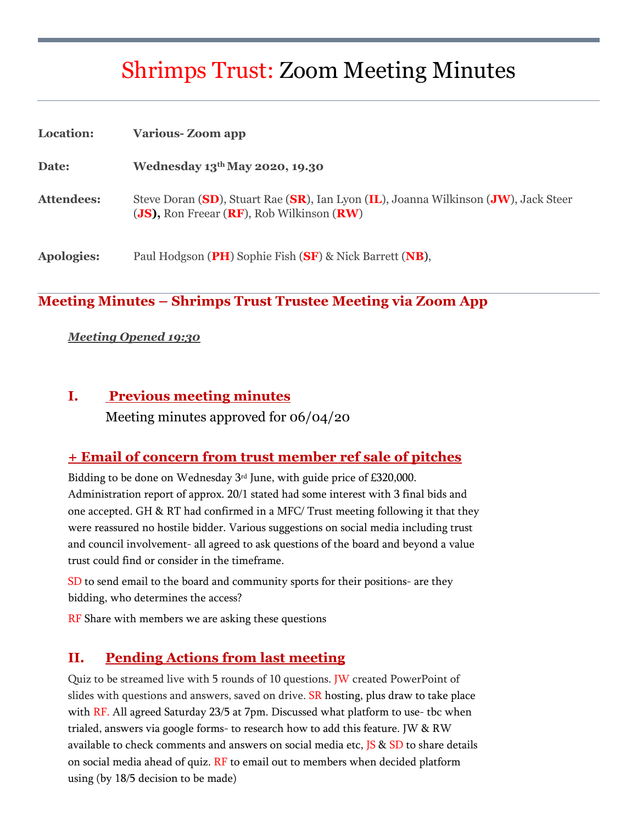# Shrimps Trust: Zoom Meeting Minutes

| Location:         | <b>Various-Zoom app</b>                                                                                                                                     |
|-------------------|-------------------------------------------------------------------------------------------------------------------------------------------------------------|
| Date:             | Wednesday 13 <sup>th</sup> May 2020, 19.30                                                                                                                  |
| <b>Attendees:</b> | Steve Doran (SD), Stuart Rae (SR), Ian Lyon (IL), Joanna Wilkinson (JW), Jack Steer<br>( <b>JS</b> ), Ron Freear ( <b>RF</b> ), Rob Wilkinson ( <b>RW</b> ) |
| <b>Apologies:</b> | Paul Hodgson (PH) Sophie Fish (SF) & Nick Barrett (NB),                                                                                                     |

#### **Meeting Minutes – Shrimps Trust Trustee Meeting via Zoom App**

#### *Meeting Opened 19:30*

#### **I. Previous meeting minutes**

Meeting minutes approved for 06/04/20

#### **+ Email of concern from trust member ref sale of pitches**

Bidding to be done on Wednesday 3rd June, with guide price of £320,000. Administration report of approx. 20/1 stated had some interest with 3 final bids and one accepted. GH & RT had confirmed in a MFC/ Trust meeting following it that they were reassured no hostile bidder. Various suggestions on social media including trust and council involvement- all agreed to ask questions of the board and beyond a value trust could find or consider in the timeframe.

SD to send email to the board and community sports for their positions- are they bidding, who determines the access?

**RF** Share with members we are asking these questions

#### **II. Pending Actions from last meeting**

Quiz to be streamed live with 5 rounds of 10 questions. JW created PowerPoint of slides with questions and answers, saved on drive. SR hosting, plus draw to take place with  $RF$ . All agreed Saturday 23/5 at 7pm. Discussed what platform to use- tbc when trialed, answers via google forms- to research how to add this feature. JW & RW available to check comments and answers on social media etc, JS & SD to share details on social media ahead of quiz.  $RF$  to email out to members when decided platform using (by 18/5 decision to be made)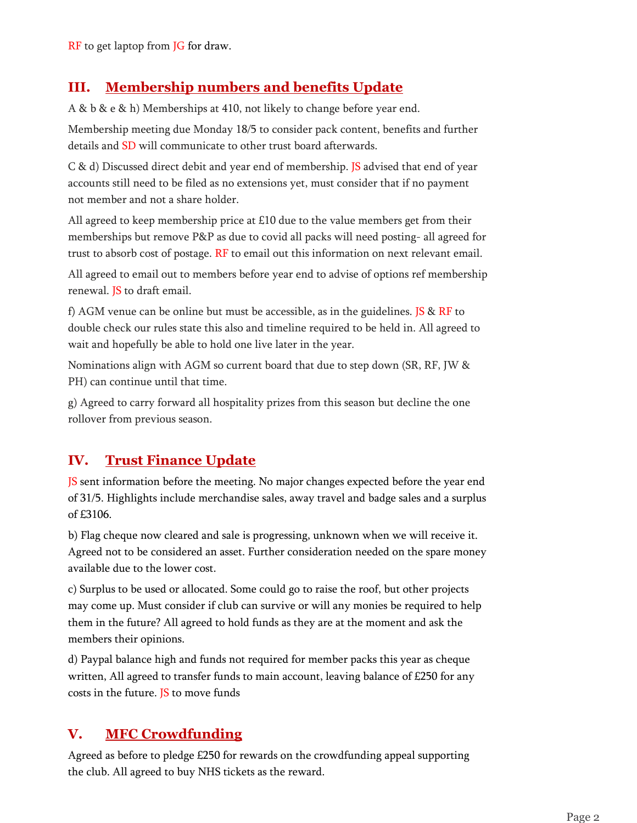RF to get laptop from JG for draw.

## **III. Membership numbers and benefits Update**

A & b & e & h) Memberships at 410, not likely to change before year end.

Membership meeting due Monday 18/5 to consider pack content, benefits and further details and SD will communicate to other trust board afterwards.

C & d) Discussed direct debit and year end of membership. JS advised that end of year accounts still need to be filed as no extensions yet, must consider that if no payment not member and not a share holder.

All agreed to keep membership price at £10 due to the value members get from their memberships but remove P&P as due to covid all packs will need posting- all agreed for trust to absorb cost of postage.  $RF$  to email out this information on next relevant email.

All agreed to email out to members before year end to advise of options ref membership renewal. JS to draft email.

f) AGM venue can be online but must be accessible, as in the guidelines. JS  $\&$  RF to double check our rules state this also and timeline required to be held in. All agreed to wait and hopefully be able to hold one live later in the year.

Nominations align with AGM so current board that due to step down (SR, RF, JW & PH) can continue until that time.

g) Agreed to carry forward all hospitality prizes from this season but decline the one rollover from previous season.

## **IV. Trust Finance Update**

JS sent information before the meeting. No major changes expected before the year end of 31/5. Highlights include merchandise sales, away travel and badge sales and a surplus of £3106.

b) Flag cheque now cleared and sale is progressing, unknown when we will receive it. Agreed not to be considered an asset. Further consideration needed on the spare money available due to the lower cost.

c) Surplus to be used or allocated. Some could go to raise the roof, but other projects may come up. Must consider if club can survive or will any monies be required to help them in the future? All agreed to hold funds as they are at the moment and ask the members their opinions.

d) Paypal balance high and funds not required for member packs this year as cheque written, All agreed to transfer funds to main account, leaving balance of £250 for any costs in the future. JS to move funds

## **V. MFC Crowdfunding**

Agreed as before to pledge £250 for rewards on the crowdfunding appeal supporting the club. All agreed to buy NHS tickets as the reward.